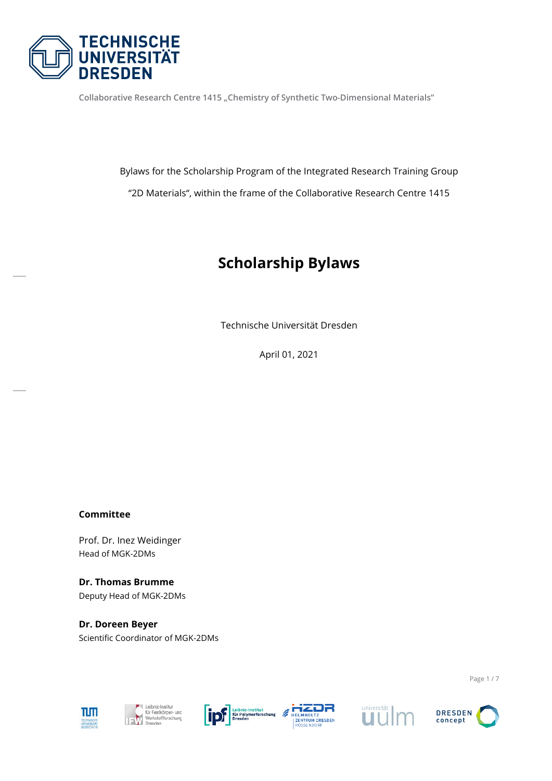

**Collaborative Research Centre 1415 "Chemistry of Synthetic Two-Dimensional Materials"** 

Bylaws for the Scholarship Program of the Integrated Research Training Group "2D Materials", within the frame of the Collaborative Research Centre 1415

# **Scholarship Bylaws**

Technische Universität Dresden

April 01, 2021

#### **Committee**

Prof. Dr. Inez Weidinger Head of MGK-2DMs

**Dr. Thomas Brumme** Deputy Head of MGK-2DMs

**Dr. Doreen Beyer** Scientific Coordinator of MGK-2DMs











**DRESDEN** concept

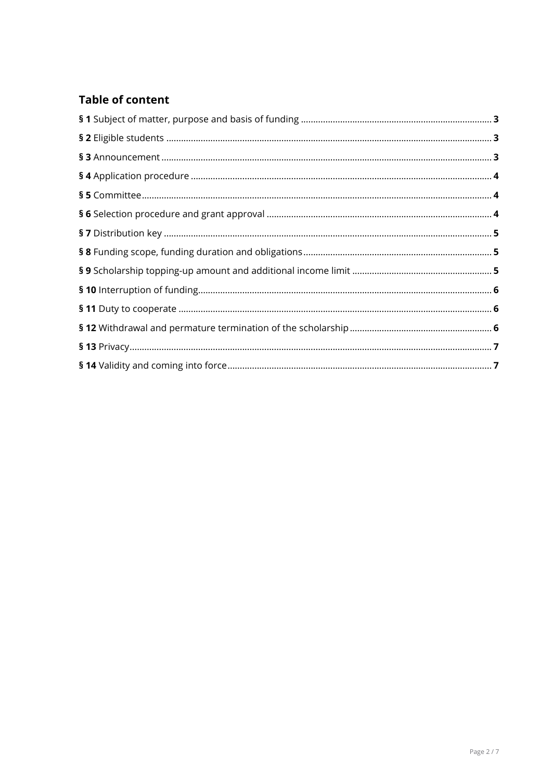## **Table of content**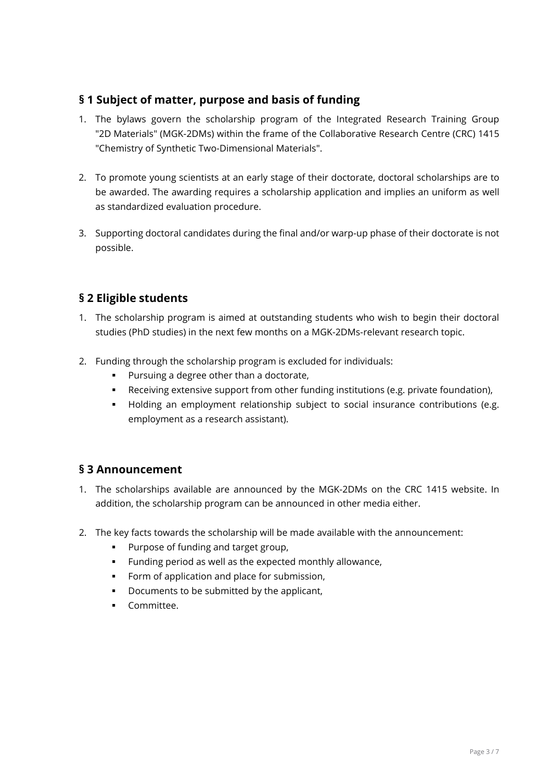#### <span id="page-2-0"></span>**§ 1 Subject of matter, purpose and basis of funding**

- 1. The bylaws govern the scholarship program of the Integrated Research Training Group "2D Materials" (MGK-2DMs) within the frame of the Collaborative Research Centre (CRC) 1415 "Chemistry of Synthetic Two-Dimensional Materials".
- 2. To promote young scientists at an early stage of their doctorate, doctoral scholarships are to be awarded. The awarding requires a scholarship application and implies an uniform as well as standardized evaluation procedure.
- 3. Supporting doctoral candidates during the final and/or warp-up phase of their doctorate is not possible.

#### <span id="page-2-1"></span>**§ 2 Eligible students**

- 1. The scholarship program is aimed at outstanding students who wish to begin their doctoral studies (PhD studies) in the next few months on a MGK-2DMs-relevant research topic.
- 2. Funding through the scholarship program is excluded for individuals:
	- **Pursuing a degree other than a doctorate,**
	- Receiving extensive support from other funding institutions (e.g. private foundation),
	- Holding an employment relationship subject to social insurance contributions (e.g. employment as a research assistant).

#### <span id="page-2-2"></span>**§ 3 Announcement**

- 1. The scholarships available are announced by the MGK-2DMs on the CRC 1415 website. In addition, the scholarship program can be announced in other media either.
- 2. The key facts towards the scholarship will be made available with the announcement:
	- **Purpose of funding and target group,**
	- Funding period as well as the expected monthly allowance,
	- Form of application and place for submission,
	- Documents to be submitted by the applicant,
	- **Committee.**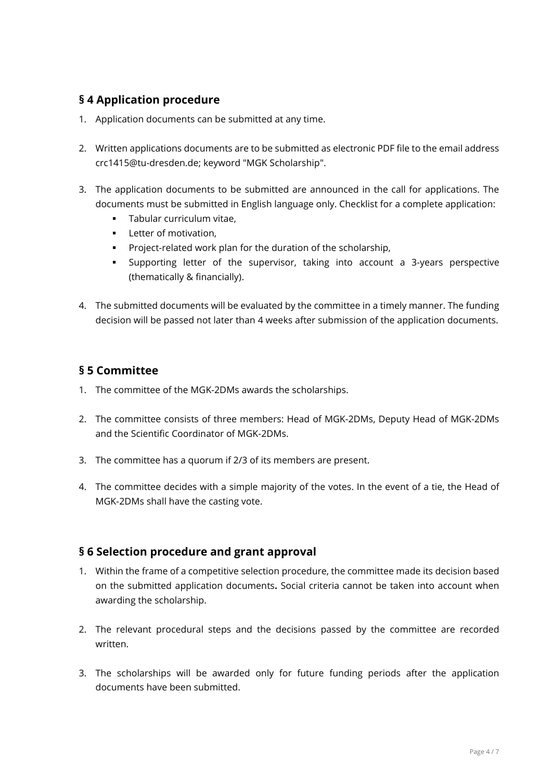### <span id="page-3-0"></span>**§ 4 Application procedure**

- 1. Application documents can be submitted at any time.
- 2. Written applications documents are to be submitted as electronic PDF file to the email address crc1415@tu-dresden.de; keyword "MGK Scholarship".
- 3. The application documents to be submitted are announced in the call for applications. The documents must be submitted in English language only. Checklist for a complete application:
	- **Tabular curriculum vitae.**
	- **Letter of motivation.**
	- **Project-related work plan for the duration of the scholarship,**
	- Supporting letter of the supervisor, taking into account a 3-years perspective (thematically & financially).
- 4. The submitted documents will be evaluated by the committee in a timely manner. The funding decision will be passed not later than 4 weeks after submission of the application documents.

### <span id="page-3-1"></span>**§ 5 Committee**

- 1. The committee of the MGK-2DMs awards the scholarships.
- 2. The committee consists of three members: Head of MGK-2DMs, Deputy Head of MGK-2DMs and the Scientific Coordinator of MGK-2DMs.
- 3. The committee has a quorum if 2/3 of its members are present.
- 4. The committee decides with a simple majority of the votes. In the event of a tie, the Head of MGK-2DMs shall have the casting vote.

### <span id="page-3-2"></span>**§ 6 Selection procedure and grant approval**

- 1. Within the frame of a competitive selection procedure, the committee made its decision based on the submitted application documents**.** Social criteria cannot be taken into account when awarding the scholarship.
- 2. The relevant procedural steps and the decisions passed by the committee are recorded written.
- 3. The scholarships will be awarded only for future funding periods after the application documents have been submitted.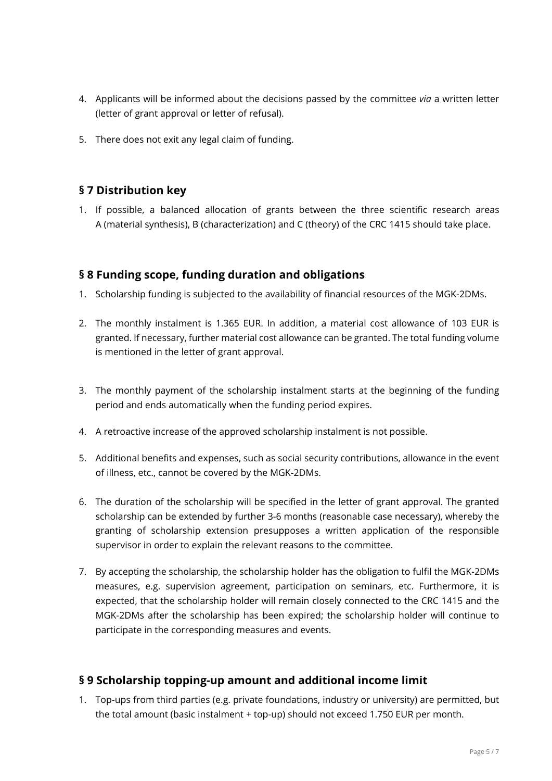- 4. Applicants will be informed about the decisions passed by the committee *via* a written letter (letter of grant approval or letter of refusal).
- 5. There does not exit any legal claim of funding.

#### <span id="page-4-0"></span>**§ 7 Distribution key**

1. If possible, a balanced allocation of grants between the three scientific research areas A (material synthesis), B (characterization) and C (theory) of the CRC 1415 should take place.

#### <span id="page-4-1"></span>**§ 8 Funding scope, funding duration and obligations**

- 1. Scholarship funding is subjected to the availability of financial resources of the MGK-2DMs.
- 2. The monthly instalment is 1.365 EUR. In addition, a material cost allowance of 103 EUR is granted. If necessary, further material cost allowance can be granted. The total funding volume is mentioned in the letter of grant approval.
- 3. The monthly payment of the scholarship instalment starts at the beginning of the funding period and ends automatically when the funding period expires.
- 4. A retroactive increase of the approved scholarship instalment is not possible.
- 5. Additional benefits and expenses, such as social security contributions, allowance in the event of illness, etc., cannot be covered by the MGK-2DMs.
- 6. The duration of the scholarship will be specified in the letter of grant approval. The granted scholarship can be extended by further 3-6 months (reasonable case necessary), whereby the granting of scholarship extension presupposes a written application of the responsible supervisor in order to explain the relevant reasons to the committee.
- 7. By accepting the scholarship, the scholarship holder has the obligation to fulfil the MGK-2DMs measures, e.g. supervision agreement, participation on seminars, etc. Furthermore, it is expected, that the scholarship holder will remain closely connected to the CRC 1415 and the MGK-2DMs after the scholarship has been expired; the scholarship holder will continue to participate in the corresponding measures and events.

#### <span id="page-4-2"></span>**§ 9 Scholarship topping-up amount and additional income limit**

1. Top-ups from third parties (e.g. private foundations, industry or university) are permitted, but the total amount (basic instalment + top-up) should not exceed 1.750 EUR per month.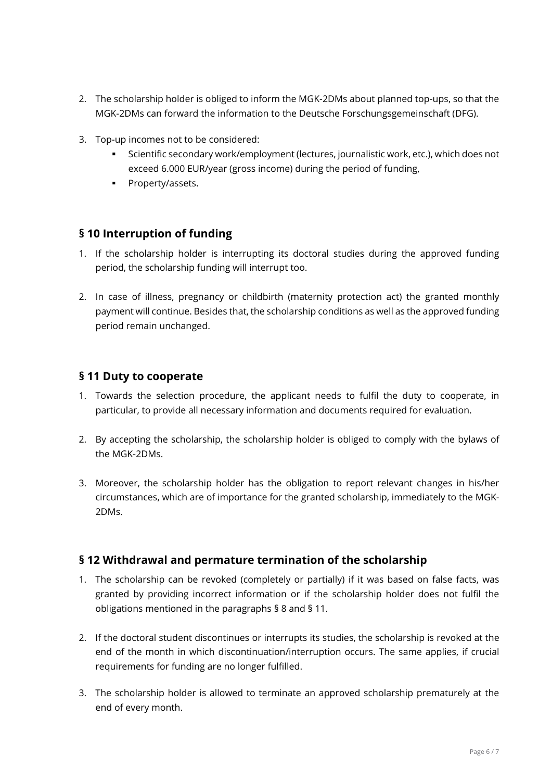- 2. The scholarship holder is obliged to inform the MGK-2DMs about planned top-ups, so that the MGK-2DMs can forward the information to the Deutsche Forschungsgemeinschaft (DFG).
- 3. Top-up incomes not to be considered:
	- Scientific secondary work/employment (lectures, journalistic work, etc.), which does not exceed 6.000 EUR/year (gross income) during the period of funding,
	- **•** Property/assets.

#### <span id="page-5-0"></span>**§ 10 Interruption of funding**

- 1. If the scholarship holder is interrupting its doctoral studies during the approved funding period, the scholarship funding will interrupt too.
- 2. In case of illness, pregnancy or childbirth (maternity protection act) the granted monthly payment will continue. Besides that, the scholarship conditions as well as the approved funding period remain unchanged.

#### <span id="page-5-1"></span>**§ 11 Duty to cooperate**

- 1. Towards the selection procedure, the applicant needs to fulfil the duty to cooperate, in particular, to provide all necessary information and documents required for evaluation.
- 2. By accepting the scholarship, the scholarship holder is obliged to comply with the bylaws of the MGK-2DMs.
- 3. Moreover, the scholarship holder has the obligation to report relevant changes in his/her circumstances, which are of importance for the granted scholarship, immediately to the MGK-2DMs.

#### <span id="page-5-2"></span>**§ 12 Withdrawal and permature termination of the scholarship**

- 1. The scholarship can be revoked (completely or partially) if it was based on false facts, was granted by providing incorrect information or if the scholarship holder does not fulfil the obligations mentioned in the paragraphs § 8 and § 11.
- 2. If the doctoral student discontinues or interrupts its studies, the scholarship is revoked at the end of the month in which discontinuation/interruption occurs. The same applies, if crucial requirements for funding are no longer fulfilled.
- 3. The scholarship holder is allowed to terminate an approved scholarship prematurely at the end of every month.